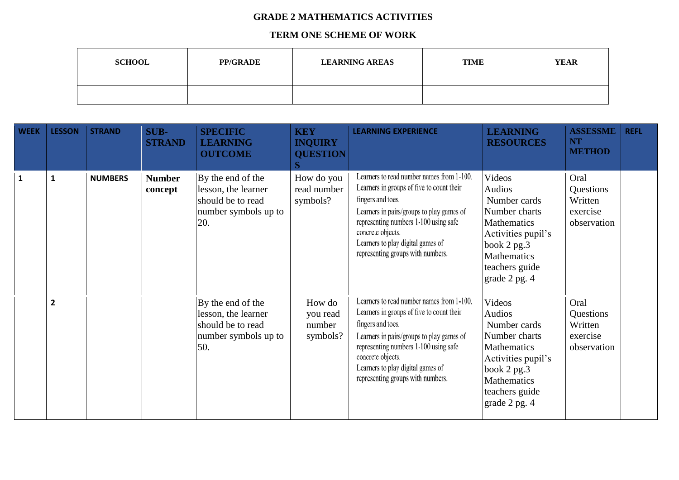## **GRADE 2 MATHEMATICS ACTIVITIES**

## **TERM ONE SCHEME OF WORK**

| <b>SCHOOL</b> | <b>PP/GRADE</b> | <b>LEARNING AREAS</b> | <b>TIME</b> | <b>YEAR</b> |
|---------------|-----------------|-----------------------|-------------|-------------|
|               |                 |                       |             |             |

| <b>WEEK</b>  | <b>LESSON</b>           | <b>STRAND</b>  | <b>SUB-</b><br><b>STRAND</b> | <b>SPECIFIC</b><br><b>LEARNING</b><br><b>OUTCOME</b>                                         | <b>KEY</b><br><b>INQUIRY</b><br><b>QUESTION</b> | <b>LEARNING EXPERIENCE</b>                                                                                                                                                                                                                                                                       | <b>LEARNING</b><br><b>RESOURCES</b>                                                                                                                                        | <b>ASSESSME</b><br><b>NT</b><br><b>METHOD</b>           | <b>REFL</b> |
|--------------|-------------------------|----------------|------------------------------|----------------------------------------------------------------------------------------------|-------------------------------------------------|--------------------------------------------------------------------------------------------------------------------------------------------------------------------------------------------------------------------------------------------------------------------------------------------------|----------------------------------------------------------------------------------------------------------------------------------------------------------------------------|---------------------------------------------------------|-------------|
| $\mathbf{1}$ | $\mathbf{1}$            | <b>NUMBERS</b> | <b>Number</b><br>concept     | By the end of the<br>lesson, the learner<br>should be to read<br>number symbols up to<br>20. | How do you<br>read number<br>symbols?           | Learners to read number names from 1-100.<br>Learners in groups of five to count their<br>fingers and toes.<br>Learners in pairs/groups to play games of<br>representing numbers 1-100 using safe<br>concrete objects.<br>Learners to play digital games of<br>representing groups with numbers. | Videos<br><b>Audios</b><br>Number cards<br>Number charts<br><b>Mathematics</b><br>Activities pupil's<br>book $2$ pg. $3$<br>Mathematics<br>teachers guide<br>grade 2 pg. 4 | Oral<br>Questions<br>Written<br>exercise<br>observation |             |
|              | $\overline{\mathbf{c}}$ |                |                              | By the end of the<br>lesson, the learner<br>should be to read<br>number symbols up to<br>50. | How do<br>you read<br>number<br>symbols?        | Learners to read number names from 1-100.<br>Learners in groups of five to count their<br>fingers and toes.<br>Learners in pairs/groups to play games of<br>representing numbers 1-100 using safe<br>concrete objects.<br>Learners to play digital games of<br>representing groups with numbers. | Videos<br><b>Audios</b><br>Number cards<br>Number charts<br>Mathematics<br>Activities pupil's<br>book 2 pg.3<br>Mathematics<br>teachers guide<br>grade 2 pg. 4             | Oral<br>Questions<br>Written<br>exercise<br>observation |             |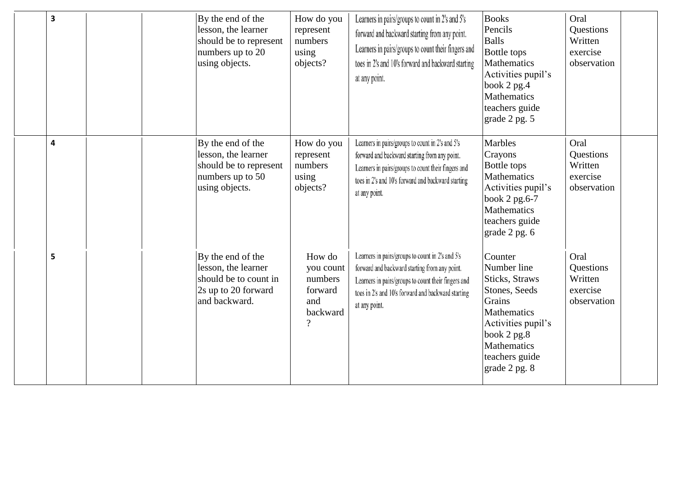| 3 | By the end of the<br>lesson, the learner<br>should be to represent<br>numbers up to 20<br>using objects.  | How do you<br>represent<br>numbers<br>using<br>objects?                        | Learners in pairs/groups to count in 2's and 5's<br>forward and backward starting from any point.<br>Learners in pairs/groups to count their fingers and<br>toes in 2's and 10's forward and backward starting<br>at any point. | <b>Books</b><br>Pencils<br><b>Balls</b><br>Bottle tops<br><b>Mathematics</b><br>Activities pupil's<br>book 2 pg.4<br>Mathematics<br>teachers guide<br>grade 2 pg. 5                   | Oral<br>Questions<br>Written<br>exercise<br>observation |
|---|-----------------------------------------------------------------------------------------------------------|--------------------------------------------------------------------------------|---------------------------------------------------------------------------------------------------------------------------------------------------------------------------------------------------------------------------------|---------------------------------------------------------------------------------------------------------------------------------------------------------------------------------------|---------------------------------------------------------|
| 4 | By the end of the<br>lesson, the learner<br>should be to represent<br>numbers up to 50<br>using objects.  | How do you<br>represent<br>numbers<br>using<br>objects?                        | Learners in pairs/groups to count in 2's and 5's<br>forward and backward starting from any point.<br>Learners in pairs/groups to count their fingers and<br>toes in 2's and 10's forward and backward starting<br>at any point. | <b>Marbles</b><br>Crayons<br>Bottle tops<br><b>Mathematics</b><br>Activities pupil's<br>book 2 pg.6-7<br><b>Mathematics</b><br>teachers guide<br>grade 2 pg. 6                        | Oral<br>Questions<br>Written<br>exercise<br>observation |
| 5 | By the end of the<br>lesson, the learner<br>should be to count in<br>2s up to 20 forward<br>and backward. | How do<br>you count<br>numbers<br>forward<br>and<br>backward<br>$\overline{?}$ | Learners in pairs/groups to count in 2's and 5's<br>forward and backward starting from any point.<br>Learners in pairs/groups to count their fingers and<br>toes in 2's and 10's forward and backward starting<br>at any point. | Counter<br>Number line<br>Sticks, Straws<br>Stones, Seeds<br>Grains<br>Mathematics<br>Activities pupil's<br>book $2$ pg. $8$<br><b>Mathematics</b><br>teachers guide<br>grade 2 pg. 8 | Oral<br>Questions<br>Written<br>exercise<br>observation |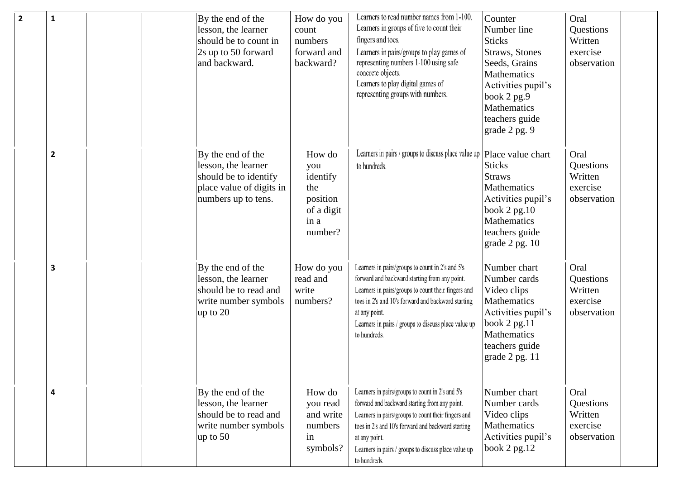| $\mathbf{2}$<br>$\mathbf{1}$ | By the end of the<br>lesson, the learner<br>should be to count in<br>2s up to 50 forward<br>and backward.            | How do you<br>count<br>numbers<br>forward and<br>backward?                    | Learners to read number names from 1-100.<br>Learners in groups of five to count their<br>fingers and toes.<br>Learners in pairs/groups to play games of<br>representing numbers 1-100 using safe<br>concrete objects.<br>Learners to play digital games of<br>representing groups with numbers.        | Counter<br>Number line<br><b>Sticks</b><br><b>Straws</b> , Stones<br>Seeds, Grains<br>Mathematics<br>Activities pupil's<br>book 2 pg.9<br>Mathematics<br>teachers guide<br>grade 2 pg. 9 | Oral<br>Questions<br>Written<br>exercise<br>observation        |
|------------------------------|----------------------------------------------------------------------------------------------------------------------|-------------------------------------------------------------------------------|---------------------------------------------------------------------------------------------------------------------------------------------------------------------------------------------------------------------------------------------------------------------------------------------------------|------------------------------------------------------------------------------------------------------------------------------------------------------------------------------------------|----------------------------------------------------------------|
| $\mathbf{2}$                 | By the end of the<br>lesson, the learner<br>should be to identify<br>place value of digits in<br>numbers up to tens. | How do<br>you<br>identify<br>the<br>position<br>of a digit<br>in a<br>number? | Learners in pairs / groups to discuss place value up $\left  \text{Place value chart} \right $<br>to hundreds.                                                                                                                                                                                          | <b>Sticks</b><br><b>Straws</b><br>Mathematics<br>Activities pupil's<br>book 2 pg.10<br>Mathematics<br>teachers guide<br>grade 2 pg. 10                                                   | Oral<br>Questions<br>Written<br>exercise<br>observation        |
| 3                            | By the end of the<br>lesson, the learner<br>should be to read and<br>write number symbols<br>up to 20                | How do you<br>read and<br>write<br>numbers?                                   | Learners in pairs/groups to count in 2's and 5's<br>forward and backward starting from any point.<br>Learners in pairs/groups to count their fingers and<br>toes in 2's and 10's forward and backward starting<br>at any point.<br>Learners in pairs / groups to discuss place value up<br>to hundreds. | Number chart<br>Number cards<br>Video clips<br>Mathematics<br>Activities pupil's<br>book $2$ pg. $11$<br>Mathematics<br>teachers guide<br>grade 2 pg. 11                                 | Oral<br>Questions<br>Written<br>exercise<br>observation        |
| 4                            | By the end of the<br>lesson, the learner<br>should be to read and<br>write number symbols<br>$\mu$ p to 50           | How do<br>you read<br>and write<br>numbers<br>in<br>symbols?                  | Learners in pairs/groups to count in 2's and 5's<br>forward and backward starting from any point.<br>Learners in pairs/groups to count their fingers and<br>toes in 2's and 10's forward and backward starting<br>at any point.<br>Learners in pairs / groups to discuss place value up<br>to hundreds. | Number chart<br>Number cards<br>Video clips<br>Mathematics<br>Activities pupil's<br>book 2 pg.12                                                                                         | Oral<br><b>Questions</b><br>Written<br>exercise<br>observation |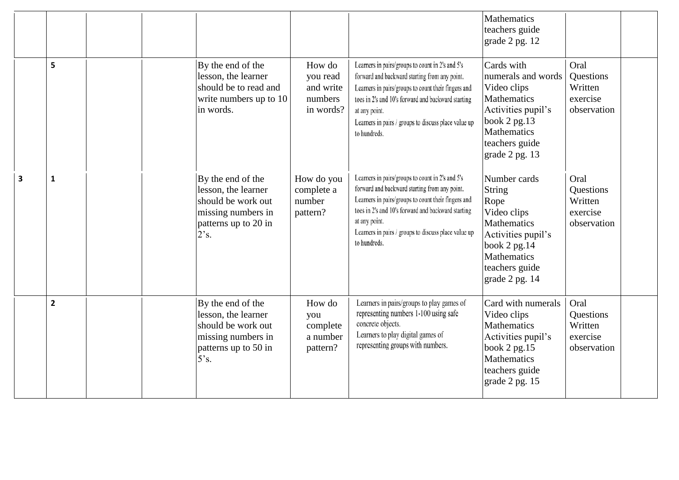|   |                |                                                                                                                      |                                                         |                                                                                                                                                                                                                                                                                                         | Mathematics<br>teachers guide<br>grade 2 pg. 12                                                                                                            |                                                         |
|---|----------------|----------------------------------------------------------------------------------------------------------------------|---------------------------------------------------------|---------------------------------------------------------------------------------------------------------------------------------------------------------------------------------------------------------------------------------------------------------------------------------------------------------|------------------------------------------------------------------------------------------------------------------------------------------------------------|---------------------------------------------------------|
|   | 5              | By the end of the<br>lesson, the learner<br>should be to read and<br>write numbers up to 10<br>in words.             | How do<br>you read<br>and write<br>numbers<br>in words? | Learners in pairs/groups to count in 2's and 5's<br>forward and backward starting from any point.<br>Learners in pairs/groups to count their fingers and<br>toes in 2's and 10's forward and backward starting<br>at any point.<br>Learners in pairs / groups to discuss place value up<br>to hundreds. | Cards with<br>numerals and words<br>Video clips<br>Mathematics<br>Activities pupil's<br>book 2 pg.13<br>Mathematics<br>teachers guide<br>grade 2 pg. 13    | Oral<br>Questions<br>Written<br>exercise<br>observation |
| 3 | $\mathbf{1}$   | By the end of the<br>lesson, the learner<br>should be work out<br>missing numbers in<br>patterns up to 20 in<br>2's. | How do you<br>complete a<br>number<br>pattern?          | Learners in pairs/groups to count in 2's and 5's<br>forward and backward starting from any point.<br>Learners in pairs/groups to count their fingers and<br>toes in 2's and 10's forward and backward starting<br>at any point.<br>Learners in pairs / groups to discuss place value up<br>to hundreds. | Number cards<br>String<br>Rope<br>Video clips<br>Mathematics<br>Activities pupil's<br>book $2$ pg. $14$<br>Mathematics<br>teachers guide<br>grade 2 pg. 14 | Oral<br>Questions<br>Written<br>exercise<br>observation |
|   | $\overline{2}$ | By the end of the<br>lesson, the learner<br>should be work out<br>missing numbers in<br>patterns up to 50 in<br>5's. | How do<br>you<br>complete<br>a number<br>pattern?       | Learners in pairs/groups to play games of<br>representing numbers 1-100 using safe<br>concrete objects.<br>Learners to play digital games of<br>representing groups with numbers.                                                                                                                       | Card with numerals<br>Video clips<br>Mathematics<br>Activities pupil's<br>book 2 pg.15<br><b>Mathematics</b><br>teachers guide<br>grade 2 pg. 15           | Oral<br>Questions<br>Written<br>exercise<br>observation |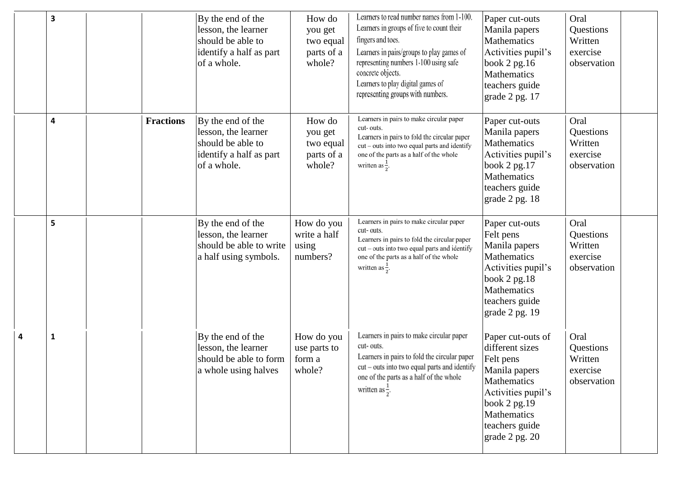| 3 |                  | By the end of the<br>lesson, the learner<br>should be able to<br>identify a half as part<br>of a whole. | How do<br>you get<br>two equal<br>parts of a<br>whole? | Learners to read number names from 1-100.<br>Learners in groups of five to count their<br>fingers and toes.<br>Learners in pairs/groups to play games of<br>representing numbers 1-100 using safe<br>concrete objects.<br>Learners to play digital games of<br>representing groups with numbers. | Paper cut-outs<br>Manila papers<br><b>Mathematics</b><br>Activities pupil's<br>book $2$ pg. 16<br><b>Mathematics</b><br>teachers guide<br>grade 2 pg. 17                   | Oral<br>Questions<br>Written<br>exercise<br>observation |  |
|---|------------------|---------------------------------------------------------------------------------------------------------|--------------------------------------------------------|--------------------------------------------------------------------------------------------------------------------------------------------------------------------------------------------------------------------------------------------------------------------------------------------------|----------------------------------------------------------------------------------------------------------------------------------------------------------------------------|---------------------------------------------------------|--|
| 4 | <b>Fractions</b> | By the end of the<br>lesson, the learner<br>should be able to<br>identify a half as part<br>of a whole. | How do<br>you get<br>two equal<br>parts of a<br>whole? | Learners in pairs to make circular paper<br>cut-outs.<br>Learners in pairs to fold the circular paper<br>cut - outs into two equal parts and identify<br>one of the parts as a half of the whole<br>written as $\frac{1}{2}$ .                                                                   | Paper cut-outs<br>Manila papers<br><b>Mathematics</b><br>Activities pupil's<br>book 2 pg.17<br><b>Mathematics</b><br>teachers guide<br>grade 2 pg. 18                      | Oral<br>Questions<br>Written<br>exercise<br>observation |  |
| 5 |                  | By the end of the<br>lesson, the learner<br>should be able to write<br>a half using symbols.            | How do you<br>write a half<br>using<br>numbers?        | Learners in pairs to make circular paper<br>cut-outs.<br>Learners in pairs to fold the circular paper<br>cut - outs into two equal parts and identify<br>one of the parts as a half of the whole<br>written as $\frac{1}{2}$ .                                                                   | Paper cut-outs<br>Felt pens<br>Manila papers<br><b>Mathematics</b><br>Activities pupil's<br>book $2$ pg. $18$<br>Mathematics<br>teachers guide<br>grade 2 pg. 19           | Oral<br>Questions<br>Written<br>exercise<br>observation |  |
| 1 |                  | By the end of the<br>lesson, the learner<br>should be able to form<br>a whole using halves              | How do you<br>use parts to<br>form a<br>whole?         | Learners in pairs to make circular paper<br>cut-outs.<br>Learners in pairs to fold the circular paper<br>$cut - outs$ into two equal parts and identify<br>one of the parts as a half of the whole<br>written as $\frac{1}{2}$ .                                                                 | Paper cut-outs of<br>different sizes<br>Felt pens<br>Manila papers<br>Mathematics<br>Activities pupil's<br>book 2 pg.19<br>Mathematics<br>teachers guide<br>grade 2 pg. 20 | Oral<br>Questions<br>Written<br>exercise<br>observation |  |

**4**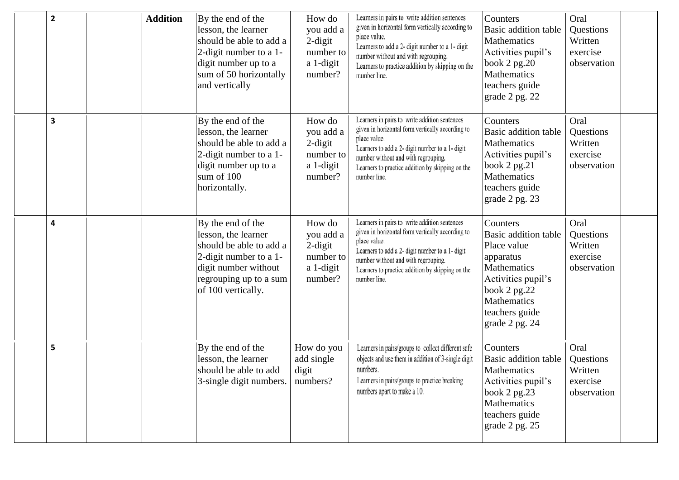| $\mathbf{2}$ | <b>Addition</b> | By the end of the<br>lesson, the learner<br>should be able to add a<br>2-digit number to a 1-<br>digit number up to a<br>sum of 50 horizontally<br>and vertically     | How do<br>you add a<br>$2$ -digit<br>number to<br>a 1-digit<br>number? | Learners in pairs to write addition sentences<br>given in horizontal form vertically according to<br>place value.<br>Learners to add a 2- digit number to a 1- digit<br>number without and with regrouping.<br>Learners to practice addition by skipping on the<br>number line. | Counters<br>Basic addition table<br>Mathematics<br>Activities pupil's<br>book 2 pg.20<br>Mathematics<br>teachers guide<br>grade 2 pg. 22                             | Oral<br>Questions<br>Written<br>exercise<br>observation |  |
|--------------|-----------------|-----------------------------------------------------------------------------------------------------------------------------------------------------------------------|------------------------------------------------------------------------|---------------------------------------------------------------------------------------------------------------------------------------------------------------------------------------------------------------------------------------------------------------------------------|----------------------------------------------------------------------------------------------------------------------------------------------------------------------|---------------------------------------------------------|--|
| 3            |                 | By the end of the<br>lesson, the learner<br>should be able to add a<br>2-digit number to a 1-<br>digit number up to a<br>sum of 100<br>horizontally.                  | How do<br>you add a<br>$2$ -digit<br>number to<br>a 1-digit<br>number? | Learners in pairs to write addition sentences<br>given in horizontal form vertically according to<br>place value.<br>Learners to add a 2- digit number to a 1- digit<br>number without and with regrouping.<br>Learners to practice addition by skipping on the<br>number line. | Counters<br>Basic addition table<br><b>Mathematics</b><br>Activities pupil's<br>book $2$ pg. $21$<br>Mathematics<br>teachers guide<br>grade 2 pg. 23                 | Oral<br>Questions<br>Written<br>exercise<br>observation |  |
| 4            |                 | By the end of the<br>lesson, the learner<br>should be able to add a<br>2-digit number to a 1-<br>digit number without<br>regrouping up to a sum<br>of 100 vertically. | How do<br>you add a<br>$2$ -digit<br>number to<br>a 1-digit<br>number? | Learners in pairs to write addition sentences<br>given in horizontal form vertically according to<br>place value.<br>Learners to add a 2- digit number to a 1- digit<br>number without and with regrouping.<br>Learners to practice addition by skipping on the<br>number line. | Counters<br>Basic addition table<br>Place value<br>apparatus<br>Mathematics<br>Activities pupil's<br>book 2 pg.22<br>Mathematics<br>teachers guide<br>grade 2 pg. 24 | Oral<br>Questions<br>Written<br>exercise<br>observation |  |
| 5            |                 | By the end of the<br>lesson, the learner<br>should be able to add<br>3-single digit numbers.                                                                          | How do you<br>add single<br>digit<br>numbers?                          | Learners in pairs/groups to collect different safe<br>objects and use them in addition of 3-single digit<br>numbers.<br>Learners in pairs/groups to practice breaking<br>numbers apart to make a 10.                                                                            | Counters<br>Basic addition table<br>Mathematics<br>Activities pupil's<br>book 2 pg.23<br>Mathematics<br>teachers guide<br>grade 2 pg. 25                             | Oral<br>Questions<br>Written<br>exercise<br>observation |  |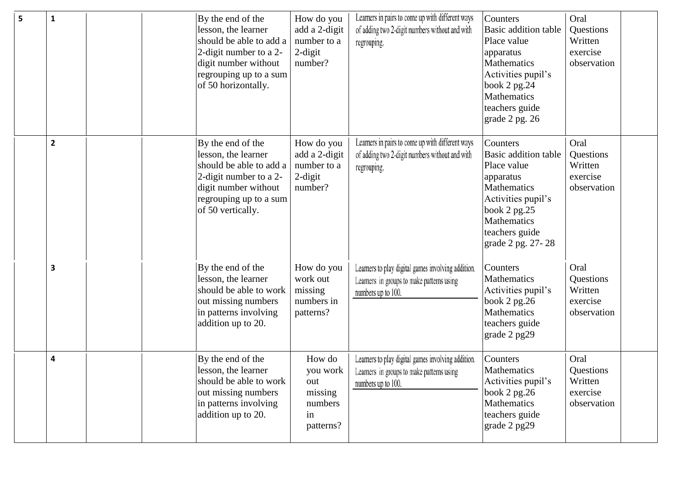| 5 | $\mathbf{1}$            | By the end of the<br>lesson, the learner<br>should be able to add a<br>2-digit number to a 2-<br>digit number without<br>regrouping up to a sum<br>of 50 horizontally. | How do you<br>add a 2-digit<br>number to a<br>$2$ -digit<br>number? | Learners in pairs to come up with different ways<br>of adding two 2-digit numbers without and with<br>regrouping.     | Counters<br>Basic addition table<br>Place value<br>apparatus<br>Mathematics<br>Activities pupil's<br>book 2 pg.24<br><b>Mathematics</b><br>teachers guide<br>grade 2 pg. 26    | Oral<br>Questions<br>Written<br>exercise<br>observation |  |
|---|-------------------------|------------------------------------------------------------------------------------------------------------------------------------------------------------------------|---------------------------------------------------------------------|-----------------------------------------------------------------------------------------------------------------------|--------------------------------------------------------------------------------------------------------------------------------------------------------------------------------|---------------------------------------------------------|--|
|   | $\overline{\mathbf{2}}$ | By the end of the<br>lesson, the learner<br>should be able to add a<br>2-digit number to a 2-<br>digit number without<br>regrouping up to a sum<br>of 50 vertically.   | How do you<br>add a 2-digit<br>number to a<br>$2$ -digit<br>number? | Learners in pairs to come up with different ways<br>of adding two 2-digit numbers without and with<br>regrouping.     | Counters<br>Basic addition table<br>Place value<br>apparatus<br>Mathematics<br>Activities pupil's<br>book 2 pg.25<br><b>Mathematics</b><br>teachers guide<br>grade 2 pg. 27-28 | Oral<br>Questions<br>Written<br>exercise<br>observation |  |
|   | 3                       | By the end of the<br>lesson, the learner<br>should be able to work<br>out missing numbers<br>in patterns involving<br>addition up to 20.                               | How do you<br>work out<br>missing<br>numbers in<br>patterns?        | Learners to play digital games involving addition.<br>Learners in groups to make patterns using<br>numbers up to 100. | Counters<br>Mathematics<br>Activities pupil's<br>book $2$ pg. $26$<br>Mathematics<br>teachers guide<br>grade 2 pg29                                                            | Oral<br>Questions<br>Written<br>exercise<br>observation |  |
|   | 4                       | By the end of the<br>lesson, the learner<br>should be able to work<br>out missing numbers<br>in patterns involving<br>addition up to 20.                               | How do<br>you work<br>out<br>missing<br>numbers<br>in<br>patterns?  | Learners to play digital games involving addition.<br>Learners in groups to make patterns using<br>numbers up to 100. | Counters<br>Mathematics<br>Activities pupil's<br>book $2$ pg. $26$<br>Mathematics<br>teachers guide<br>grade 2 pg29                                                            | Oral<br>Questions<br>Written<br>exercise<br>observation |  |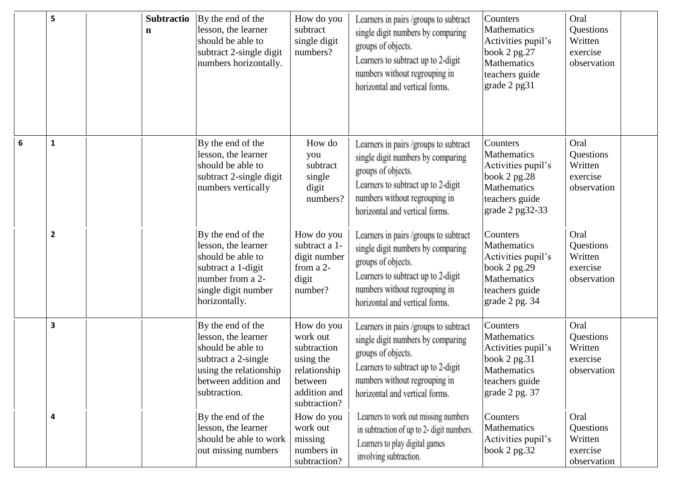|   | 5            | <b>Subtractio</b><br>$\mathbf n$ | By the end of the<br>lesson, the learner<br>should be able to<br>subtract 2-single digit<br>numbers horizontally.                                      | How do you<br>subtract<br>single digit<br>numbers?                                                            | Learners in pairs /groups to subtract<br>single digit numbers by comparing<br>groups of objects.<br>Learners to subtract up to 2-digit<br>numbers without regrouping in<br>horizontal and vertical forms. | Counters<br>Mathematics<br>Activities pupil's<br>book $2$ pg. $27$<br>Mathematics<br>teachers guide<br>grade 2 pg31    | Oral<br>Questions<br>Written<br>exercise<br>observation |
|---|--------------|----------------------------------|--------------------------------------------------------------------------------------------------------------------------------------------------------|---------------------------------------------------------------------------------------------------------------|-----------------------------------------------------------------------------------------------------------------------------------------------------------------------------------------------------------|------------------------------------------------------------------------------------------------------------------------|---------------------------------------------------------|
| 6 | $\mathbf{1}$ |                                  | By the end of the<br>lesson, the learner<br>should be able to<br>subtract 2-single digit<br>numbers vertically                                         | How do<br>you<br>subtract<br>single<br>digit<br>numbers?                                                      | Learners in pairs /groups to subtract<br>single digit numbers by comparing<br>groups of objects.<br>Learners to subtract up to 2-digit<br>numbers without regrouping in<br>horizontal and vertical forms. | Counters<br>Mathematics<br>Activities pupil's<br>book $2$ pg. $28$<br>Mathematics<br>teachers guide<br>grade 2 pg32-33 | Oral<br>Questions<br>Written<br>exercise<br>observation |
|   | $\mathbf{2}$ |                                  | By the end of the<br>lesson, the learner<br>should be able to<br>subtract a 1-digit<br>number from a 2-<br>single digit number<br>horizontally.        | How do you<br>subtract a 1-<br>digit number<br>from a 2-<br>digit<br>number?                                  | Learners in pairs /groups to subtract<br>single digit numbers by comparing<br>groups of objects.<br>Learners to subtract up to 2-digit<br>numbers without regrouping in<br>horizontal and vertical forms. | Counters<br>Mathematics<br>Activities pupil's<br>book 2 pg.29<br>Mathematics<br>teachers guide<br>grade 2 pg. 34       | Oral<br>Questions<br>Written<br>exercise<br>observation |
|   | 3            |                                  | By the end of the<br>lesson, the learner<br>should be able to<br>subtract a 2-single<br>using the relationship<br>between addition and<br>subtraction. | How do you<br>work out<br>subtraction<br>using the<br>relationship<br>between<br>addition and<br>subtraction? | Learners in pairs /groups to subtract<br>single digit numbers by comparing<br>groups of objects.<br>Learners to subtract up to 2-digit<br>numbers without regrouping in<br>horizontal and vertical forms. | Counters<br>Mathematics<br>Activities pupil's<br>book $2$ pg. $31$<br>Mathematics<br>teachers guide<br>grade 2 pg. 37  | Oral<br>Questions<br>Written<br>exercise<br>observation |
|   | 4            |                                  | By the end of the<br>lesson, the learner<br>should be able to work<br>out missing numbers                                                              | How do you<br>work out<br>missing<br>numbers in<br>subtraction?                                               | Learners to work out missing numbers<br>in subtraction of up to 2- digit numbers.<br>Learners to play digital games<br>involving subtraction.                                                             | Counters<br>Mathematics<br>Activities pupil's<br>book $2$ pg. $32$                                                     | Oral<br>Questions<br>Written<br>exercise<br>observation |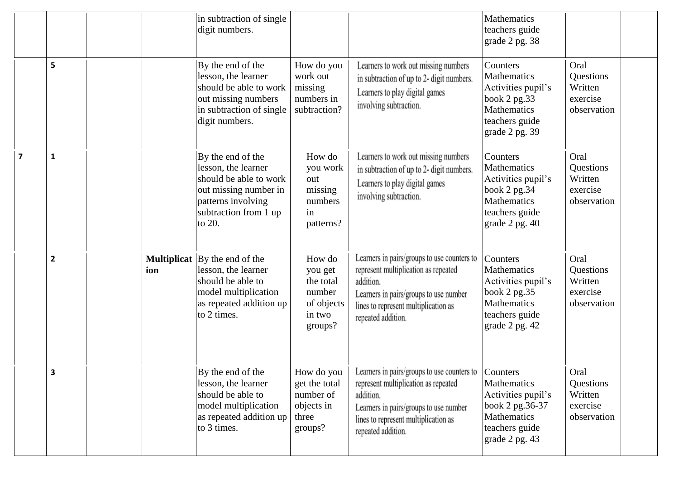|                |                         |     | in subtraction of single<br>digit numbers.                                                                                                                 |                                                                             |                                                                                                                                                                                                          | <b>Mathematics</b><br>teachers guide<br>grade 2 pg. 38                                                                         |                                                         |  |
|----------------|-------------------------|-----|------------------------------------------------------------------------------------------------------------------------------------------------------------|-----------------------------------------------------------------------------|----------------------------------------------------------------------------------------------------------------------------------------------------------------------------------------------------------|--------------------------------------------------------------------------------------------------------------------------------|---------------------------------------------------------|--|
|                | 5                       |     | By the end of the<br>lesson, the learner<br>should be able to work<br>out missing numbers<br>in subtraction of single<br>digit numbers.                    | How do you<br>work out<br>missing<br>numbers in<br>subtraction?             | Learners to work out missing numbers<br>in subtraction of up to 2- digit numbers.<br>Learners to play digital games<br>involving subtraction.                                                            | Counters<br>Mathematics<br>Activities pupil's<br>book 2 pg.33<br>Mathematics<br>teachers guide<br>grade 2 pg. 39               | Oral<br>Questions<br>Written<br>exercise<br>observation |  |
| $\overline{7}$ | 1                       |     | By the end of the<br>lesson, the learner<br>should be able to work<br>out missing number in<br>patterns involving<br>subtraction from 1 up<br>to 20.       | How do<br>you work<br>out<br>missing<br>numbers<br>in<br>patterns?          | Learners to work out missing numbers<br>in subtraction of up to 2- digit numbers.<br>Learners to play digital games<br>involving subtraction.                                                            | Counters<br>Mathematics<br>Activities pupil's<br>book 2 pg.34<br>Mathematics<br>teachers guide<br>grade 2 pg. 40               | Oral<br>Questions<br>Written<br>exercise<br>observation |  |
|                | $\overline{\mathbf{2}}$ | ion | <b>Multiplicat</b> $\vert$ By the end of the<br>lesson, the learner<br>should be able to<br>model multiplication<br>as repeated addition up<br>to 2 times. | How do<br>you get<br>the total<br>number<br>of objects<br>in two<br>groups? | Learners in pairs/groups to use counters to<br>represent multiplication as repeated<br>addition.<br>Learners in pairs/groups to use number<br>lines to represent multiplication as<br>repeated addition. | Counters<br><b>Mathematics</b><br>Activities pupil's<br>book 2 pg.35<br><b>Mathematics</b><br>teachers guide<br>grade 2 pg. 42 | Oral<br>Questions<br>Written<br>exercise<br>observation |  |
|                | З                       |     | By the end of the<br>lesson, the learner<br>should be able to<br>model multiplication<br>as repeated addition up<br>to 3 times.                            | How do you<br>get the total<br>number of<br>objects in<br>three<br>groups?  | Learners in pairs/groups to use counters to<br>represent multiplication as repeated<br>addition.<br>Learners in pairs/groups to use number<br>lines to represent multiplication as<br>repeated addition. | Counters<br><b>Mathematics</b><br>Activities pupil's<br>book 2 pg.36-37<br>Mathematics<br>teachers guide<br>grade 2 pg. 43     | Oral<br>Questions<br>Written<br>exercise<br>observation |  |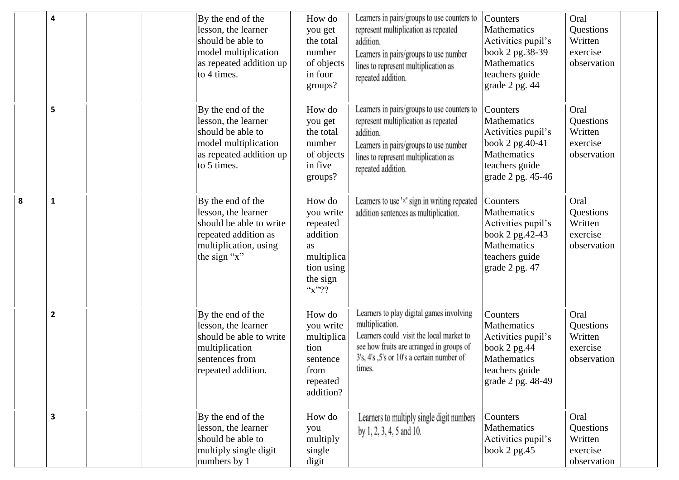|   | $\overline{\mathbf{4}}$ | By the end of the<br>lesson, the learner<br>should be able to<br>model multiplication<br>as repeated addition up<br>to 4 times.      | How do<br>you get<br>the total<br>number<br>of objects<br>in four<br>groups?                           | Learners in pairs/groups to use counters to<br>represent multiplication as repeated<br>addition.<br>Learners in pairs/groups to use number<br>lines to represent multiplication as<br>repeated addition.   | Counters<br>Mathematics<br>Activities pupil's<br>book 2 pg.38-39<br>Mathematics<br>teachers guide<br>grade 2 pg. 44    | Oral<br>Questions<br>Written<br>exercise<br>observation |
|---|-------------------------|--------------------------------------------------------------------------------------------------------------------------------------|--------------------------------------------------------------------------------------------------------|------------------------------------------------------------------------------------------------------------------------------------------------------------------------------------------------------------|------------------------------------------------------------------------------------------------------------------------|---------------------------------------------------------|
|   | 5                       | By the end of the<br>lesson, the learner<br>should be able to<br>model multiplication<br>as repeated addition up<br>to 5 times.      | How do<br>you get<br>the total<br>number<br>of objects<br>in five<br>groups?                           | Learners in pairs/groups to use counters to<br>represent multiplication as repeated<br>addition.<br>Learners in pairs/groups to use number<br>lines to represent multiplication as<br>repeated addition.   | Counters<br>Mathematics<br>Activities pupil's<br>book 2 pg.40-41<br>Mathematics<br>teachers guide<br>grade 2 pg. 45-46 | Oral<br>Questions<br>Written<br>exercise<br>observation |
| 8 | $\mathbf{1}$            | By the end of the<br>lesson, the learner<br>should be able to write<br>repeated addition as<br>multiplication, using<br>the sign "x" | How do<br>you write<br>repeated<br>addition<br>as<br>multiplica<br>tion using<br>the sign<br>$``x"$ ?? | Learners to use 'x' sign in writing repeated<br>addition sentences as multiplication.                                                                                                                      | Counters<br>Mathematics<br>Activities pupil's<br>book 2 pg.42-43<br>Mathematics<br>teachers guide<br>grade 2 pg. 47    | Oral<br>Questions<br>Written<br>exercise<br>observation |
|   | $\overline{2}$          | By the end of the<br>lesson, the learner<br>should be able to write<br>multiplication<br>sentences from<br>repeated addition.        | How do<br>you write<br>multiplica<br>tion<br>sentence<br>from<br>repeated<br>addition?                 | Learners to play digital games involving<br>multiplication.<br>Learners could visit the local market to<br>see how fruits are arranged in groups of<br>3's, 4's ,5's or 10's a certain number of<br>times. | Counters<br>Mathematics<br>Activities pupil's<br>book 2 pg.44<br>Mathematics<br>teachers guide<br>grade 2 pg. 48-49    | Oral<br>Questions<br>Written<br>exercise<br>observation |
|   | $\overline{\mathbf{3}}$ | By the end of the<br>lesson, the learner<br>should be able to<br>multiply single digit<br>numbers by 1                               | How do<br>you<br>multiply<br>single<br>digit                                                           | Learners to multiply single digit numbers<br>by 1, 2, 3, 4, 5 and 10.                                                                                                                                      | Counters<br>Mathematics<br>Activities pupil's<br>book $2$ pg. 45                                                       | Oral<br>Questions<br>Written<br>exercise<br>observation |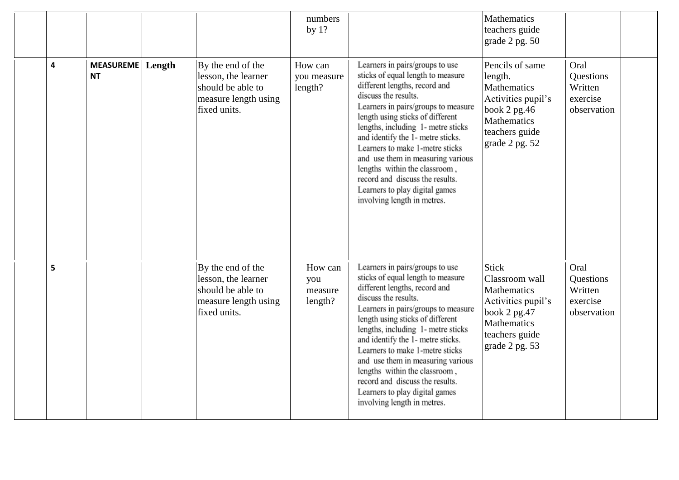|   |                                      |                                                                                                       | numbers<br>by $1?$                   |                                                                                                                                                                                                                                                                                                                                                                                                                                                                                                  | Mathematics<br>teachers guide<br>grade 2 pg. 50                                                                                              |                                                         |
|---|--------------------------------------|-------------------------------------------------------------------------------------------------------|--------------------------------------|--------------------------------------------------------------------------------------------------------------------------------------------------------------------------------------------------------------------------------------------------------------------------------------------------------------------------------------------------------------------------------------------------------------------------------------------------------------------------------------------------|----------------------------------------------------------------------------------------------------------------------------------------------|---------------------------------------------------------|
| 4 | <b>MEASUREME</b> Length<br><b>NT</b> | By the end of the<br>lesson, the learner<br>should be able to<br>measure length using<br>fixed units. | How can<br>you measure<br>length?    | Learners in pairs/groups to use<br>sticks of equal length to measure<br>different lengths, record and<br>discuss the results.<br>Learners in pairs/groups to measure<br>length using sticks of different<br>lengths, including 1- metre sticks<br>and identify the 1- metre sticks.<br>Learners to make 1-metre sticks<br>and use them in measuring various<br>lengths within the classroom,<br>record and discuss the results.<br>Learners to play digital games<br>involving length in metres. | Pencils of same<br>length.<br><b>Mathematics</b><br>Activities pupil's<br>book $2$ pg. 46<br>Mathematics<br>teachers guide<br>grade 2 pg. 52 | Oral<br>Questions<br>Written<br>exercise<br>observation |
| 5 |                                      | By the end of the<br>lesson, the learner<br>should be able to<br>measure length using<br>fixed units. | How can<br>you<br>measure<br>length? | Learners in pairs/groups to use<br>sticks of equal length to measure<br>different lengths, record and<br>discuss the results.<br>Learners in pairs/groups to measure<br>length using sticks of different<br>lengths, including 1- metre sticks<br>and identify the 1- metre sticks.<br>Learners to make 1-metre sticks<br>and use them in measuring various<br>lengths within the classroom,<br>record and discuss the results.<br>Learners to play digital games<br>involving length in metres. | <b>Stick</b><br>Classroom wall<br>Mathematics<br>Activities pupil's<br>book 2 pg.47<br>Mathematics<br>teachers guide<br>grade 2 pg. 53       | Oral<br>Questions<br>Written<br>exercise<br>observation |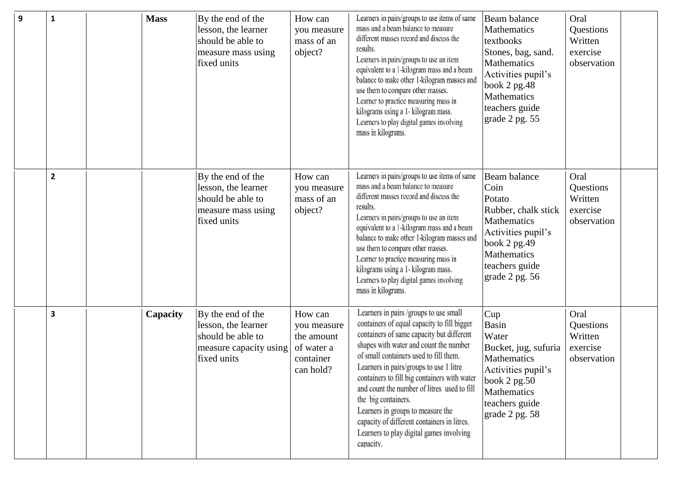| 9 | 1            | <b>Mass</b> | By the end of the<br>lesson, the learner<br>should be able to<br>measure mass using<br>fixed units     | How can<br>you measure<br>mass of an<br>object?                              | Learners in pairs/groups to use items of same<br>mass and a beam balance to measure<br>different masses record and discuss the<br>results.<br>Learners in pairs/groups to use an item<br>equivalent to a 1-kilogram mass and a beam<br>balance to make other 1-kilogram masses and<br>use them to compare other masses.<br>Learner to practice measuring mass in<br>kilograms using a 1- kilogram mass.<br>Learners to play digital games involving<br>mass in kilograms.                                                            | Beam balance<br>Mathematics<br>textbooks<br>Stones, bag, sand.<br><b>Mathematics</b><br>Activities pupil's<br>book 2 pg.48<br>Mathematics<br>teachers guide<br>grade 2 pg. 55 | Oral<br>Questions<br>Written<br>exercise<br>observation |
|---|--------------|-------------|--------------------------------------------------------------------------------------------------------|------------------------------------------------------------------------------|--------------------------------------------------------------------------------------------------------------------------------------------------------------------------------------------------------------------------------------------------------------------------------------------------------------------------------------------------------------------------------------------------------------------------------------------------------------------------------------------------------------------------------------|-------------------------------------------------------------------------------------------------------------------------------------------------------------------------------|---------------------------------------------------------|
|   | $\mathbf{2}$ |             | By the end of the<br>lesson, the learner<br>should be able to<br>measure mass using<br>fixed units     | How can<br>you measure<br>mass of an<br>object?                              | Learners in pairs/groups to use items of same<br>mass and a beam balance to measure<br>different masses record and discuss the<br>results.<br>Learners in pairs/groups to use an item<br>equivalent to a 1-kilogram mass and a beam<br>balance to make other 1-kilogram masses and<br>use them to compare other masses.<br>Learner to practice measuring mass in<br>kilograms using a 1- kilogram mass.<br>Learners to play digital games involving<br>mass in kilograms.                                                            | Beam balance<br>Coin<br>Potato<br>Rubber, chalk stick<br>Mathematics<br>Activities pupil's<br>book $2$ pg. 49<br>Mathematics<br>teachers guide<br>grade 2 pg. 56              | Oral<br>Questions<br>Written<br>exercise<br>observation |
|   | 3            | Capacity    | By the end of the<br>lesson, the learner<br>should be able to<br>measure capacity using<br>fixed units | How can<br>you measure<br>the amount<br>of water a<br>container<br>can hold? | Learners in pairs /groups to use small<br>containers of equal capacity to fill bigger<br>containers of same capacity but different<br>shapes with water and count the number<br>of small containers used to fill them.<br>Learners in pairs/groups to use 1 litre<br>containers to fill big containers with water<br>and count the number of litres used to fill<br>the big containers.<br>Learners in groups to measure the<br>capacity of different containers in litres.<br>Learners to play digital games involving<br>capacity. | Cup<br>Basin<br>Water<br>Bucket, jug, sufuria<br>Mathematics<br>Activities pupil's<br>book 2 pg.50<br>Mathematics<br>teachers guide<br>grade 2 pg. 58                         | Oral<br>Questions<br>Written<br>exercise<br>observation |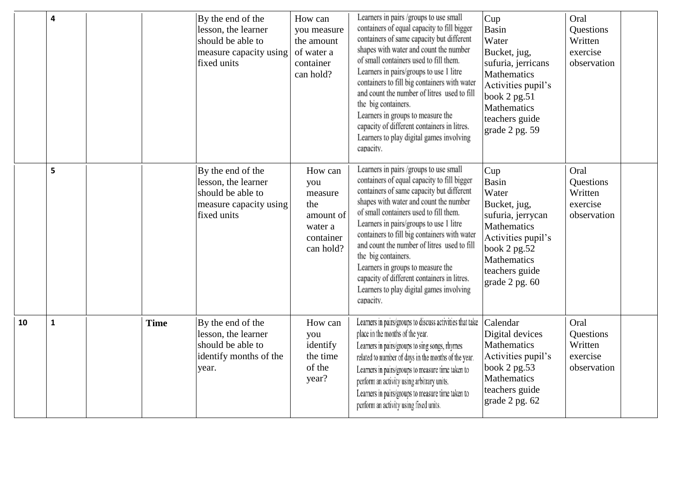|    | $\overline{\mathbf{4}}$ |             | By the end of the<br>lesson, the learner<br>should be able to<br>measure capacity using<br>fixed units | How can<br>you measure<br>the amount<br>of water a<br>container<br>can hold?       | Learners in pairs /groups to use small<br>containers of equal capacity to fill bigger<br>containers of same capacity but different<br>shapes with water and count the number<br>of small containers used to fill them.<br>Learners in pairs/groups to use 1 litre<br>containers to fill big containers with water<br>and count the number of litres used to fill<br>the big containers.<br>Learners in groups to measure the<br>capacity of different containers in litres.<br>Learners to play digital games involving<br>capacity. | Cup<br><b>Basin</b><br>Water<br>Bucket, jug,<br>sufuria, jerricans<br>Mathematics<br>Activities pupil's<br>book $2$ pg.51<br><b>Mathematics</b><br>teachers guide<br>grade 2 pg. 59 | Oral<br>Questions<br>Written<br>exercise<br>observation |
|----|-------------------------|-------------|--------------------------------------------------------------------------------------------------------|------------------------------------------------------------------------------------|--------------------------------------------------------------------------------------------------------------------------------------------------------------------------------------------------------------------------------------------------------------------------------------------------------------------------------------------------------------------------------------------------------------------------------------------------------------------------------------------------------------------------------------|-------------------------------------------------------------------------------------------------------------------------------------------------------------------------------------|---------------------------------------------------------|
|    | 5                       |             | By the end of the<br>lesson, the learner<br>should be able to<br>measure capacity using<br>fixed units | How can<br>you<br>measure<br>the<br>amount of<br>water a<br>container<br>can hold? | Learners in pairs /groups to use small<br>containers of equal capacity to fill bigger<br>containers of same capacity but different<br>shapes with water and count the number<br>of small containers used to fill them.<br>Learners in pairs/groups to use 1 litre<br>containers to fill big containers with water<br>and count the number of litres used to fill<br>the big containers.<br>Learners in groups to measure the<br>capacity of different containers in litres.<br>Learners to play digital games involving<br>capacity. | Cup<br><b>Basin</b><br>Water<br>Bucket, jug,<br>sufuria, jerrycan<br><b>Mathematics</b><br>Activities pupil's<br>book 2 pg.52<br>Mathematics<br>teachers guide<br>grade 2 pg. 60    | Oral<br>Questions<br>Written<br>exercise<br>observation |
| 10 | $\mathbf{1}$            | <b>Time</b> | By the end of the<br>lesson, the learner<br>should be able to<br>identify months of the<br>year.       | How can<br>you<br>identify<br>the time<br>of the<br>year?                          | Learners in pairs/groups to discuss activities that take<br>place in the months of the year.<br>Learners in pairs/groups to sing songs, rhymes<br>related to number of days in the months of the year.<br>Learners in pairs/groups to measure time taken to<br>perform an activity using arbitrary units.<br>Learners in pairs/groups to measure time taken to<br>perform an activity using fixed units.                                                                                                                             | Calendar<br>Digital devices<br><b>Mathematics</b><br>Activities pupil's<br>book 2 pg.53<br>Mathematics<br>teachers guide<br>grade 2 pg. 62                                          | Oral<br>Questions<br>Written<br>exercise<br>observation |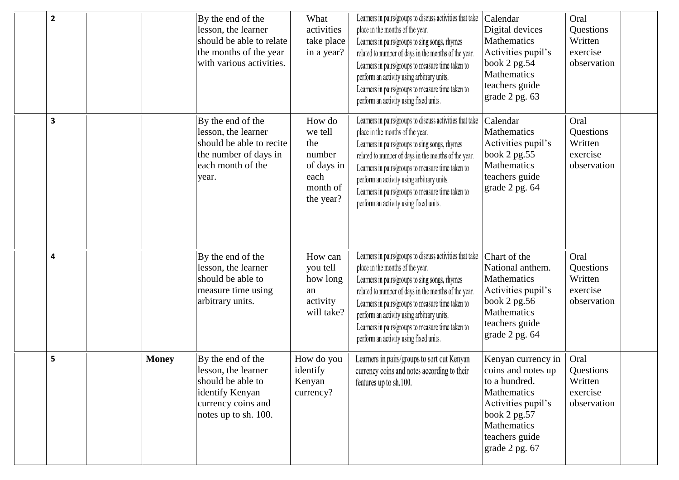| $\overline{2}$          |              | By the end of the<br>lesson, the learner<br>should be able to relate<br>the months of the year<br>with various activities.     | What<br>activities<br>take place<br>in a year?                                    | Learners in pairs/groups to discuss activities that take<br>place in the months of the year.<br>Learners in pairs/groups to sing songs, rhymes<br>related to number of days in the months of the year.<br>Learners in pairs/groups to measure time taken to<br>perform an activity using arbitrary units.<br>Learners in pairs/groups to measure time taken to<br>perform an activity using fixed units. | Calendar<br>Digital devices<br>Mathematics<br>Activities pupil's<br>book 2 pg.54<br>Mathematics<br>teachers guide<br>grade 2 pg. 63                               | Oral<br>Questions<br>Written<br>exercise<br>observation |  |
|-------------------------|--------------|--------------------------------------------------------------------------------------------------------------------------------|-----------------------------------------------------------------------------------|----------------------------------------------------------------------------------------------------------------------------------------------------------------------------------------------------------------------------------------------------------------------------------------------------------------------------------------------------------------------------------------------------------|-------------------------------------------------------------------------------------------------------------------------------------------------------------------|---------------------------------------------------------|--|
| $\overline{\mathbf{3}}$ |              | By the end of the<br>lesson, the learner<br>should be able to recite<br>the number of days in<br>each month of the<br>year.    | How do<br>we tell<br>the<br>number<br>of days in<br>each<br>month of<br>the year? | Learners in pairs/groups to discuss activities that take<br>place in the months of the year.<br>Learners in pairs/groups to sing songs, rhymes<br>related to number of days in the months of the year.<br>Learners in pairs/groups to measure time taken to<br>perform an activity using arbitrary units.<br>Learners in pairs/groups to measure time taken to<br>perform an activity using fixed units. | Calendar<br>Mathematics<br>Activities pupil's<br>book $2$ pg.55<br>Mathematics<br>teachers guide<br>grade 2 pg. 64                                                | Oral<br>Questions<br>Written<br>exercise<br>observation |  |
| 4                       |              | By the end of the<br>lesson, the learner<br>should be able to<br>measure time using<br>arbitrary units.                        | How can<br>you tell<br>how long<br>an<br>activity<br>will take?                   | Learners in pairs/groups to discuss activities that take<br>place in the months of the year.<br>Learners in pairs/groups to sing songs, rhymes<br>related to number of days in the months of the year.<br>Learners in pairs/groups to measure time taken to<br>perform an activity using arbitrary units.<br>Learners in pairs/groups to measure time taken to<br>perform an activity using fixed units. | Chart of the<br>National anthem.<br>Mathematics<br>Activities pupil's<br>book $2$ pg.56<br>Mathematics<br>teachers guide<br>grade 2 pg. 64                        | Oral<br>Questions<br>Written<br>exercise<br>observation |  |
| 5                       | <b>Money</b> | By the end of the<br>lesson, the learner<br>should be able to<br>identify Kenyan<br>currency coins and<br>notes up to sh. 100. | How do you<br>identify<br>Kenyan<br>currency?                                     | Learners in pairs/groups to sort out Kenyan<br>currency coins and notes according to their<br>features up to sh.100.                                                                                                                                                                                                                                                                                     | Kenyan currency in<br>coins and notes up<br>to a hundred.<br>Mathematics<br>Activities pupil's<br>book 2 pg.57<br>Mathematics<br>teachers guide<br>grade 2 pg. 67 | Oral<br>Questions<br>Written<br>exercise<br>observation |  |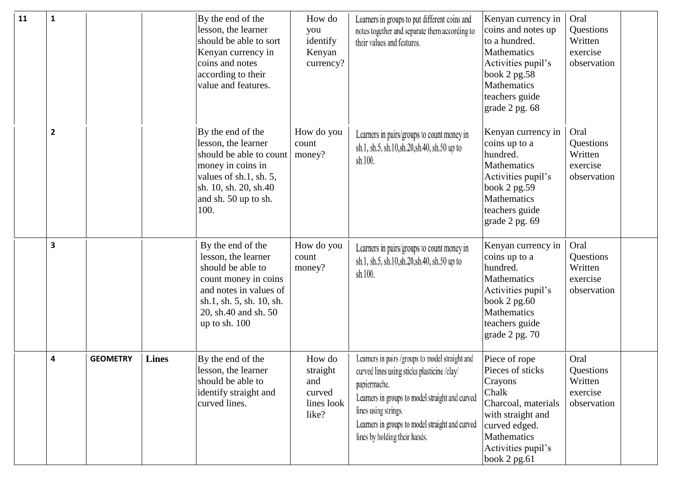| 11 | $\mathbf{1}$   |                 |              | By the end of the<br>lesson, the learner<br>should be able to sort<br>Kenyan currency in<br>coins and notes<br>according to their<br>value and features.                               | How do<br>you<br>identify<br>Kenyan<br>currency?           | Learners in groups to put different coins and<br>notes together and separate them according to<br>their values and features.                                                                                                                                                  | Kenyan currency in<br>coins and notes up<br>to a hundred.<br><b>Mathematics</b><br>Activities pupil's<br>book 2 pg.58<br>Mathematics<br>teachers guide<br>grade 2 pg. 68 | Oral<br>Questions<br>Written<br>exercise<br>observation |  |
|----|----------------|-----------------|--------------|----------------------------------------------------------------------------------------------------------------------------------------------------------------------------------------|------------------------------------------------------------|-------------------------------------------------------------------------------------------------------------------------------------------------------------------------------------------------------------------------------------------------------------------------------|--------------------------------------------------------------------------------------------------------------------------------------------------------------------------|---------------------------------------------------------|--|
|    | $\overline{2}$ |                 |              | By the end of the<br>lesson, the learner<br>should be able to count<br>money in coins in<br>values of sh.1, sh. 5,<br>sh. 10, sh. 20, sh. 40<br>and sh. 50 up to sh.<br>100.           | How do you<br>count<br>money?                              | Learners in pairs/groups to count money in<br>sh.1, sh.5, sh.10, sh.20, sh.40, sh.50 up to<br>sh.100.                                                                                                                                                                         | Kenyan currency in<br>coins up to a<br>hundred.<br>Mathematics<br>Activities pupil's<br>book 2 pg.59<br><b>Mathematics</b><br>teachers guide<br>grade 2 pg. 69           | Oral<br>Questions<br>Written<br>exercise<br>observation |  |
|    | 3              |                 |              | By the end of the<br>lesson, the learner<br>should be able to<br>count money in coins<br>and notes in values of<br>sh.1, sh. 5, sh. 10, sh.<br>20, sh.40 and sh. 50<br>up to sh. $100$ | How do you<br>count<br>money?                              | Learners in pairs/groups to count money in<br>sh.1, sh.5, sh.10, sh.20, sh.40, sh.50 up to<br>sh.100.                                                                                                                                                                         | Kenyan currency in<br>coins up to a<br>hundred.<br><b>Mathematics</b><br>Activities pupil's<br>book 2 pg.60<br>Mathematics<br>teachers guide<br>grade 2 pg. 70           | Oral<br>Questions<br>Written<br>exercise<br>observation |  |
|    | 4              | <b>GEOMETRY</b> | <b>Lines</b> | By the end of the<br>lesson, the learner<br>should be able to<br>identify straight and<br>curved lines.                                                                                | How do<br>straight<br>and<br>curved<br>lines look<br>like? | Learners in pairs /groups to model straight and<br>curved lines using sticks plasticine /clay/<br>papiermache.<br>Learners in groups to model straight and curved<br>lines using strings.<br>Learners in groups to model straight and curved<br>lines by holding their hands. | Piece of rope<br>Pieces of sticks<br>Crayons<br>Chalk<br>Charcoal, materials<br>with straight and<br>curved edged.<br>Mathematics<br>Activities pupil's<br>book 2 pg.61  | Oral<br>Questions<br>Written<br>exercise<br>observation |  |